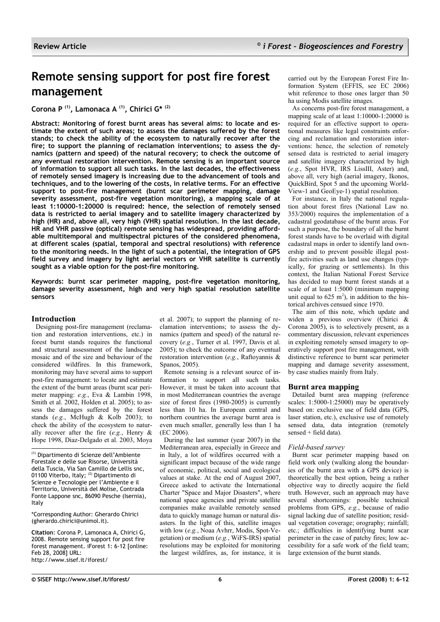# **Remote sensing support for post fire forest management**

**Corona P (1), Lamonaca A (1), Chirici G\* (2)**

**Abstract: Monitoring of forest burnt areas has several aims: to locate and estimate the extent of such areas; to assess the damages suffered by the forest stands; to check the ability of the ecosystem to naturally recover after the fire; to support the planning of reclamation interventions; to assess the dynamics (pattern and speed) of the natural recovery; to check the outcome of any eventual restoration intervention. Remote sensing is an important source of information to support all such tasks. In the last decades, the effectiveness of remotely sensed imagery is increasing due to the advancement of tools and techniques, and to the lowering of the costs, in relative terms. For an effective support to post-fire management (burnt scar perimeter mapping, damage severity assessment, post-fire vegetation monitoring), a mapping scale of at least 1:10000-1:20000 is required: hence, the selection of remotely sensed data is restricted to aerial imagery and to satellite imagery characterized by high (HR) and, above all, very high (VHR) spatial resolution. In the last decade, HR and VHR passive (optical) remote sensing has widespread, providing affordable multitemporal and multispectral pictures of the considered phenomena, at different scales (spatial, temporal and spectral resolutions) with reference to the monitoring needs. In the light of such a potential, the integration of GPS field survey and imagery by light aerial vectors or VHR satellite is currently sought as a viable option for the post-fire monitoring.**

**Keywords: burnt scar perimeter mapping, post-fire vegetation monitoring, damage severity assessment, high and very high spatial resolution satellite sensors**

# **Introduction**

Designing post-fire management (reclamation and restoration interventions, etc.) in forest burnt stands requires the functional and structural assessment of the landscape mosaic and of the size and behaviour of the considered wildfires. In this framework, monitoring may have several aims to support post-fire management: to locate and estimate the extent of the burnt areas (burnt scar perimeter mapping: *e.g.*, Eva & Lambin 1998, Smith et al. 2002, Holden et al. 2005); to assess the damages suffered by the forest stands (e.g., McHugh & Kolb 2003); to check the ability of the ecosystem to naturally recover after the fire (*e.g.*, Henry & Hope 1998, Diaz-Delgado et al. 2003, Moya

(1) Dipartimento di Scienze dell'Ambiente Forestale e delle sue Risorse, Università della Tuscia, Via San Camillo de Lellis snc, 01100 Viterbo, Italy; (2) Dipartimento di Scienze e Tecnologie per l'Ambiente e il Territorio, Università del Molise, Contrada Fonte Lappone snc, 86090 Pesche (Isernia), Italy

\*Corresponding Author: Gherardo Chirici (gherardo.chirici@unimol.it).

**Citation**: Corona P, Lamonaca A, Chirici G, 2008. Remote sensing support for post fire forest management. iForest 1: 6-12 [online: Feb 28, 2008] URL: http://www.sisef.it/iforest/

et al. 2007); to support the planning of reclamation interventions; to assess the dynamics (pattern and speed) of the natural recovery (*e.g.*, Turner et al. 1997, Davis et al. 2005); to check the outcome of any eventual restoration intervention (*e.g.*, Raftoyannis & Spanos, 2005).

Remote sensing is a relevant source of information to support all such tasks. However, it must be taken into account that in most Mediterranean countries the average size of forest fires (1980-2005) is currently less than 10 ha. In European central and northern countries the average burnt area is even much smaller, generally less than 1 ha (EC 2006).

During the last summer (year 2007) in the Mediterranean area, especially in Greece and in Italy, a lot of wildfires occurred with a significant impact because of the wide range of economic, political, social and ecological values at stake. At the end of August 2007, Greece asked to activate the International Charter "Space and Major Disasters", where national space agencies and private satellite companies make available remotely sensed data to quickly manage human or natural disasters. In the light of this, satellite images with low (*e.g.*, Noaa Avhrr, Modis, Spot-Vegetation) or medium (*e.g.*, WiFS-IRS) spatial resolutions may be exploited for monitoring the largest wildfires, as, for instance, it is carried out by the European Forest Fire Information System (EFFIS, see EC 2006) whit reference to those ones larger than 50 ha using Modis satellite images.

As concerns post-fire forest management, a mapping scale of at least 1:10000-1:20000 is required for an effective support to operational measures like legal constraints enforcing and reclamation and restoration interventions: hence, the selection of remotely sensed data is restricted to aerial imagery and satellite imagery characterized by high (*e.g.*, Spot HVR, IRS LissIII, Aster) and, above all, very high (aerial imagery, Ikonos, QuickBird, Spot 5 and the upcoming World-View-1 and GeoEye-1) spatial resolution.

For instance, in Italy the national regulation about forest fires (National Law no. 353/2000) requires the implementation of a cadastral geodatabase of the burnt areas. For such a purpose, the boundary of all the burnt forest stands have to be overlaid with digital cadastral maps in order to identify land ownership and to prevent possible illegal postfire activities such as land use changes (typically, for grazing or settlements). In this context, the Italian National Forest Service has decided to map burnt forest stands at a scale of at least  $1.5000$  (minimum mapping unit equal to  $625 \text{ m}^2$ ), in addition to the historical archives censued since 1970.

The aim of this note, which update and widen a previous overview (Chirici & Corona 2005), is to selectively present, as a commentary discussion, relevant experiences in exploiting remotely sensed imagery to operatively support post fire management, with distinctive reference to burnt scar perimeter mapping and damage severity assessment, by case studies mainly from Italy.

# **Burnt area mapping**

Detailed burnt area mapping (reference scales: 1:5000-1:25000) may be operatively based on: exclusive use of field data (GPS, laser station, etc.), exclusive use of remotely sensed data, data integration (remotely sensed + field data).

# *Field-based survey*

Burnt scar perimeter mapping based on field work only (walking along the boundaries of the burnt area with a GPS device) is theoretically the best option, being a rather objective way to directly acquire the field truth. However, such an approach may have several shortcomings: possible technical problems from GPS, *e.g.*, because of radio signal lacking due of satellite position; residual vegetation coverage; orography; rainfall; etc.; difficulties in identifying burnt scar perimeter in the case of patchy fires; low accessibility for a safe work of the field team; large extension of the burnt stands.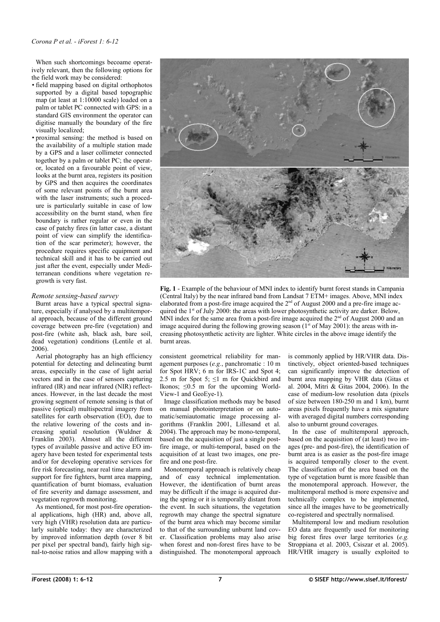When such shortcomings becoame operatively relevant, then the following options for the field work may be considered:

- field mapping based on digital orthophotos supported by a digital based topographic map (at least at 1:10000 scale) loaded on a palm or tablet PC connected with GPS: in a standard GIS environment the operator can digitise manually the boundary of the fire visually localized;
- proximal sensing: the method is based on the availability of a multiple station made by a GPS and a laser collimeter connected together by a palm or tablet PC; the operator, located on a favourable point of view, looks at the burnt area, registers its position by GPS and then acquires the coordinates of some relevant points of the burnt area with the laser instruments; such a procedure is particularly suitable in case of low accessibility on the burnt stand, when fire boundary is rather regular or even in the case of patchy fires (in latter case, a distant point of view can simplify the identification of the scar perimeter); however, the procedure requires specific equipment and technical skill and it has to be carried out just after the event, especially under Mediterranean conditions where vegetation regrowth is very fast.

## *Remote sensing-based survey*

Burnt areas have a typical spectral signature, especially if analysed by a multitemporal approach, because of the different ground coverage between pre-fire (vegetation) and post-fire (white ash, black ash, bare soil, dead vegetation) conditions (Lentile et al. 2006).

Aerial photography has an high efficiency potential for detecting and delineating burnt areas, especially in the case of light aerial vectors and in the case of sensors capturing infrared  $(IR)$  and near infrared  $(NIR)$  reflectances. However, in the last decade the most growing segment of remote sensing is that of passive (optical) multispectral imagery from satellites for earth observation (EO), due to the relative lowering of the costs and increasing spatial resolution (Wuldner & Franklin 2003). Almost all the different types of available passive and active EO imagery have been tested for experimental tests and/or for developing operative services for fire risk forecasting, near real time alarm and support for fire fighters, burnt area mapping, quantification of burnt biomass, evaluation of fire severity and damage assessment, and vegetation regrowth monitoring.

As mentioned, for most post-fire operational applications, high  $(HR)$  and, above all, very high (VHR) resolution data are particularly suitable today: they are characterized by improved information depth (over 8 bit per pixel per spectral band), fairly high signal-to-noise ratios and allow mapping with a



<span id="page-1-0"></span>**Fig. 1** - Example of the behaviour of MNI index to identify burnt forest stands in Campania (Central Italy) by the near infrared band from Landsat 7 ETM+ images. Above, MNI index elaborated from a post-fire image acquired the  $2<sup>nd</sup>$  of August 2000 and a pre-fire image acquired the  $1<sup>st</sup>$  of July 2000: the areas with lower photosynthetic activity are darker. Below, MNI index for the same area from a post-fire image acquired the  $2<sup>nd</sup>$  of August 2000 and an image acquired during the following growing season  $(1^{\text{st}}$  of May 2001): the areas with increasing photosynthetic activity are lighter. White circles in the above image identify the burnt areas.

consistent geometrical reliability for management purposes (*e.g.*, panchromatic : 10 m for Spot HRV; 6 m for IRS-1C and Spot 4; 2.5 m for Spot 5;  $\leq$ 1 m for Quickbird and Ikonos;  $\leq 0.\overline{5}$  m for the upcoming World-View-1 and GeoEye-1).

Image classification methods may be based on manual photointerpretation or on automatic/semiautomatic image processing algorithms (Franklin 2001, Lillesand et al. 2004). The approach may be mono-temporal, based on the acquisition of just a single postfire image, or multi-temporal, based on the acquisition of at least two images, one prefire and one post-fire.

Monotemporal approach is relatively cheap and of easy technical implementation. However, the identification of burnt areas may be difficult if the image is acquired during the spring or it is temporally distant from the event. In such situations, the vegetation regrowth may change the spectral signature of the burnt area which may become similar to that of the surrounding unburnt land cover. Classification problems may also arise when forest and non-forest fires have to be distinguished. The monotemporal approach is commonly applied by HR/VHR data. Distinctively, object oriented-based techniques can significantly improve the detection of burnt area mapping by VHR data (Gitas et al. 2004, Mitri & Gitas 2004, 2006). In the case of medium-low resolution data (pixels of size between 180-250 m and 1 km), burnt areas pixels frequently have a mix signature with averaged digital numbers corresponding also to unburnt ground coverages.

In the case of multitemporal approach, based on the acquisition of (at least) two images (pre- and post-fire), the identification of burnt area is as easier as the post-fire image is acquired temporally closer to the event. The classification of the area based on the type of vegetation burnt is more feasible than the monotemporal approach. However, the multitemporal method is more expensive and technically complex to be implemented, since all the images have to be geometrically co-registered and spectrally normalised.

Multitemporal low and medium resolution EO data are frequently used for monitoring big forest fires over large territories (*e.g.* Stroppiana et al. 2003, Csiszar et al. 2005). HR/VHR imagery is usually exploited to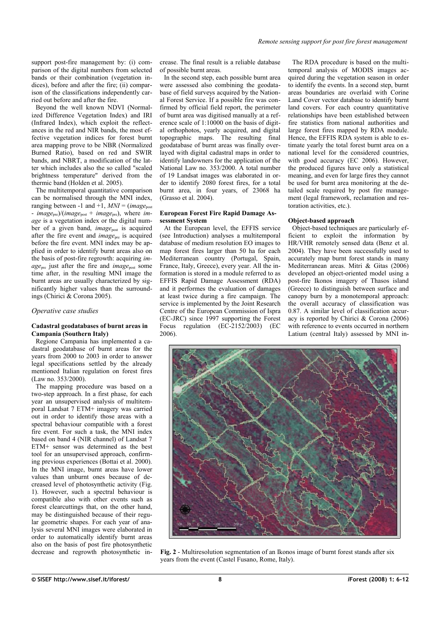support post-fire management by: (i) comparison of the digital numbers from selected bands or their combination (vegetation indices), before and after the fire; (ii) comparison of the classifications independently carried out before and after the fire.

Beyond the well known NDVI (Normalized Difference Vegetation Index) and IRI (Infrared Index), which exploit the reflectances in the red and NIR bands, the most effective vegetation indices for forest burnt area mapping prove to be NBR (Normalized Burned Ratio), based on red and SWIR bands, and NBRT, a modification of the latter which includes also the so called "scaled brightness temperature" derived from the thermic band (Holden et al. 2005).

The multitemporal quantitative comparison can be normalised through the MNI index, ranging between -1 and  $+1$ ,  $MNI = (image<sub>post</sub>)$ - *image*pre)/(*image*post + *image*pre), where *image* is a vegetation index or the digital number of a given band, *image*post is acquired after the fire event and *image*<sub>pre</sub> is acquired before the fire event. MNI index may be applied in order to identify burnt areas also on the basis of post-fire regrowth: acquiring *image*<sub>pre</sub> just after the fire and *image*<sub>post</sub> some time after, in the resulting MNI image the burnt areas are usually characterized by significantly higher values than the surroundings (Chirici & Corona 2005).

## *Operative case studies*

#### **Cadastral geodatabases of burnt areas in Campania (Southern Italy)**

Regione Campania has implemented a cadastral geodatabase of burnt areas for the years from 2000 to 2003 in order to answer legal specifications settled by the already mentioned Italian regulation on forest fires (Law no. 353/2000).

The mapping procedure was based on a two-step approach. In a first phase, for each year an unsupervised analysis of multitemporal Landsat 7 ETM+ imagery was carried out in order to identify those areas with a spectral behaviour compatible with a forest fire event. For such a task, the MNI index based on band 4 (NIR channel) of Landsat 7 ETM+ sensor was determined as the best tool for an unsupervised approach, confirming previous experiences (Bottai et al. 2000). In the MNI image, burnt areas have lower values than unburnt ones because of decreased level of photosynthetic activity [\(Fig.](#page-1-0) [1\)](#page-1-0). However, such a spectral behaviour is compatible also with other events such as forest clearcuttings that, on the other hand, may be distinguished because of their regular geometric shapes. For each year of analysis several MNI images were elaborated in order to automatically identify burnt areas also on the basis of post fire photosynthetic decrease and regrowth photosynthetic increase. The final result is a reliable database of possible burnt areas.

In the second step, each possible burnt area were assessed also combining the geodatabase of field surveys acquired by the National Forest Service. If a possible fire was confirmed by official field report, the perimeter of burnt area was digitised manually at a reference scale of 1:10000 on the basis of digital orthophotos, yearly acquired, and digital topographic maps. The resulting final geodatabase of burnt areas was finally overlayed with digital cadastral maps in order to identify landowners for the application of the National Law no. 353/2000. A total number of 19 Landsat images was elaborated in order to identify 2080 forest fires, for a total burnt area, in four years, of 23068 ha (Grasso et al. 2004).

#### **European Forest Fire Rapid Damage Assessment System**

At the European level, the EFFIS service (see Introduction) analyses a multitemporal database of medium resolution EO images to map forest fires larger than 50 ha for each Mediterranean country (Portugal, Spain, France, Italy, Greece), every year. All the information is stored in a module referred to as EFFIS Rapid Damage Assessment (RDA) and it performes the evaluation of damages at least twice during a fire campaign. The service is implemented by the Joint Research Centre of the European Commission of Ispra (EC-JRC) since 1997 supporting the Forest Focus regulation (EC-2152/2003) (EC 2006).

The RDA procedure is based on the multitemporal analysis of MODIS images acquired during the vegetation season in order to identify the events. In a second step, burnt areas boundaries are overlaid with Corine Land Cover vector database to identify burnt land covers. For each country quantitative relationships have been established between fire statistics from national authorities and large forest fires mapped by RDA module. Hence, the EFFIS RDA system is able to estimate yearly the total forest burnt area on a national level for the considered countries, with good accuracy (EC 2006). However, the produced figures have only a statistical meaning, and even for large fires they cannot be used for burnt area monitoring at the detailed scale required by post fire management (legal framework, reclamation and restoration activities, etc.).

#### **Object-based approach**

Object-based techniques are particularly efficient to exploit the information by HR/VHR remotely sensed data (Benz et al. 2004). They have been successfully used to accurately map burnt forest stands in many Mediterranean areas. Mitri & Gitas (2006) developed an object-oriented model using a post-fire Ikonos imagery of Thasos island (Greece) to distinguish between surface and canopy burn by a monotemporal approach: the overall accuracy of classification was 0.87. A similar level of classification accuracy is reported by Chirici & Corona (2006) with reference to events occurred in northern Latium (central Italy) assessed by MNI in



<span id="page-2-0"></span>**Fig. 2** - Multiresolution segmentation of an Ikonos image of burnt forest stands after six years from the event (Castel Fusano, Rome, Italy).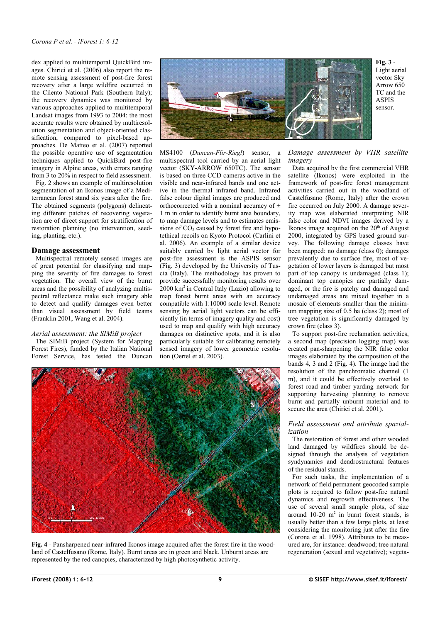dex applied to multitemporal QuickBird images. Chirici et al. (2006) also report the remote sensing assessment of post-fire forest recovery after a large wildfire occurred in the Cilento National Park (Southern Italy); the recovery dynamics was monitored by various approaches applied to multitemporal Landsat images from 1993 to 2004: the most accurate results were obtained by multiresolution segmentation and object-oriented classification, compared to pixel-based approaches. De Matteo et al. (2007) reported the possible operative use of segmentation techniques applied to QuickBird post-fire imagery in Alpine areas, with errors ranging from 3 to 20% in respect to field assessment.

[Fig.](#page-2-0) 2 shows an example of multiresolution segmentation of an Ikonos image of a Mediterranean forest stand six years after the fire. The obtained segments (polygons) delineating different patches of recovering vegetation are of direct support for stratification of restoration planning (no intervention, seeding, planting, etc.).

#### **Damage assessment**

Multispectral remotely sensed images are of great potential for classifying and mapping the severity of fire damages to forest vegetation. The overall view of the burnt areas and the possibility of analyzing multispectral reflectance make such imagery able to detect and qualify damages even better than visual assessment by field teams (Franklin 2001, Wang et al. 2004).

#### *Aerial assessment: the SIMiB project*

The SIMiB project (System for Mapping Forest Fires), funded by the Italian National Forest Service, has tested the Duncan



<span id="page-3-1"></span>**Fig. 3** - Light aerial vector Sky Arrow 650 TC and the ASPIS sensor.

MS4100 (*Duncan-Flir-Riegl*) sensor, a multispectral tool carried by an aerial light vector (SKY-ARROW 650TC). The sensor is based on three CCD cameras active in the visible and near-infrared bands and one active in the thermal infrared band. Infrared false colour digital images are produced and orthocorrected with a nominal accuracy of  $\pm$ 1 m in order to identify burnt area boundary, to map damage levels and to estimates emissions of  $CO<sub>2</sub>$  caused by forest fire and hypotethical recoils on Kyoto Protocol (Carlini et al. 2006). An example of a similar device suitably carried by light aerial vector for post-fire assessment is the ASPIS sensor [\(Fig.](#page-3-1) 3) developed by the University of Tuscia (Italy). The methodology has proven to provide successfully monitoring results over 2000 km<sup>2</sup> in Central Italy (Lazio) allowing to map forest burnt areas with an accuracy compatible with 1:10000 scale level. Remote sensing by aerial light vectors can be efficiently (in terms of imagery quality and cost) used to map and qualify with high accuracy damages on distinctive spots, and it is also particularly suitable for calibrating remotely sensed imagery of lower geometric resolution (Oertel et al. 2003).



<span id="page-3-0"></span>**Fig. 4** - Pansharpened near-infrared Ikonos image acquired after the forest fire in the woodland of Castelfusano (Rome, Italy). Burnt areas are in green and black. Unburnt areas are represented by the red canopies, characterized by high photosynthetic activity.

*Damage assessment by VHR satellite imagery*

Data acquired by the first commercial VHR satellite (Ikonos) were exploited in the framework of post-fire forest management activities carried out in the woodland of Castelfusano (Rome, Italy) after the crown fire occurred on July 2000. A damage severity map was elaborated interpreting NIR false color and NDVI images derived by a Ikonos image acquired on the  $20<sup>th</sup>$  of August 2000, integrated by GPS based ground survey. The following damage classes have been mapped: no damage (class 0); damages prevalently due to surface fire, most of vegetation of lower layers is damaged but most part of top canopy is undamaged (class 1); dominant top canopies are partially damaged, or the fire is patchy and damaged and undamaged areas are mixed together in a mosaic of elements smaller than the minimum mapping size of 0.5 ha (class 2); most of tree vegetation is significantly damaged by crown fire (class 3).

To support post-fire reclamation activities, a second map (precision logging map) was created pan-sharpening the NIR false color images elaborated by the composition of the bands 4, 3 and 2 [\(Fig.](#page-3-0) 4). The image had the resolution of the panchromatic channel (1 m), and it could be effectively overlaid to forest road and timber yarding network for supporting harvesting planning to remove burnt and partially unburnt material and to secure the area (Chirici et al. 2001).

#### *Field assessment and attribute spazialization*

The restoration of forest and other wooded land damaged by wildfires should be designed through the analysis of vegetation syndynamics and dendrostructural features of the residual stands.

For such tasks, the implementation of a network of field permanent geocoded sample plots is required to follow post-fire natural dynamics and regrowth effectiveness. The use of several small sample plots, of size around  $10-20$  m<sup>2</sup> in burnt forest stands, is usually better than a few large plots, at least considering the monitoring just after the fire (Corona et al. 1998). Attributes to be measured are, for instance: deadwood; tree natural regeneration (sexual and vegetative); vegeta-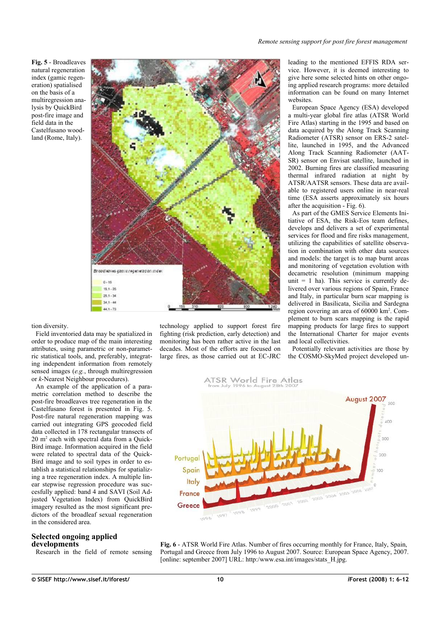<span id="page-4-1"></span>**Fig. 5** - Broadleaves natural regeneration index (gamic regeneration) spatialised on the basis of a multiregression analysis by QuickBird post-fire image and field data in the Castelfusano woodland (Rome, Italy).



tion diversity.

Field inventoried data may be spatialized in order to produce map of the main interesting attributes, using parametric or non-parametric statistical tools, and, preferably, integrating independent information from remotely sensed images (*e.g.*, through multiregression or *k*-Nearest Neighbour procedures).

An example of the application of a parametric correlation method to describe the post-fire broadleaves tree regeneration in the Castelfusano forest is presented in [Fig.](#page-4-1) 5. Post-fire natural regeneration mapping was carried out integrating GPS geocoded field data collected in 178 rectangular transects of 20 m<sup>2</sup> each with spectral data from a Quick-Bird image. Information acquired in the field were related to spectral data of the Quick-Bird image and to soil types in order to establish a statistical relationships for spatializing a tree regeneration index. A multiple linear stepwise regression procedure was succesfully applied: band 4 and SAVI (Soil Adjusted Vegetation Index) from QuickBird imagery resulted as the most significant predictors of the broadleaf sexual regeneration in the considered area.

## **Selected ongoing applied developments**

Research in the field of remote sensing

technology applied to support forest fire fighting (risk prediction, early detection) and monitoring has been rather active in the last decades. Most of the efforts are focused on large fires, as those carried out at EC-JRC leading to the mentioned EFFIS RDA service. However, it is deemed interesting to give here some selected hints on other ongoing applied research programs: more detailed information can be found on many Internet websites.

European Space Agency (ESA) developed a multi-year global fire atlas (ATSR World Fire Atlas) starting in the 1995 and based on data acquired by the Along Track Scanning Radiometer (ATSR) sensor on ERS-2 satellite, launched in 1995, and the Advanced Along Track Scanning Radiometer (AAT-SR) sensor on Envisat satellite, launched in 2002. Burning fires are classified measuring thermal infrared radiation at night by ATSR/AATSR sensors. These data are available to registered users online in near-real time (ESA asserts approximately six hours after the acquisition - [Fig. 6\)](#page-4-0).

As part of the GMES Service Elements Initiative of ESA, the Risk-Eos team defines, develops and delivers a set of experimental services for flood and fire risks management, utilizing the capabilities of satellite observation in combination with other data sources and models: the target is to map burnt areas and monitoring of vegetation evolution with decametric resolution (minimum mapping unit  $= 1$  ha). This service is currently delivered over various regions of Spain, France and Italy, in particular burn scar mapping is delivered in Basilicata, Sicilia and Sardegna region covering an area of 60000 km<sup>2</sup>. Complement to burn scars mapping is the rapid mapping products for large fires to support the International Charter for major events and local collectivities.

Potentially relevant activities are those by the COSMO-SkyMed project developed un



<span id="page-4-0"></span>**Fig. 6** - ATSR World Fire Atlas. Number of fires occurring monthly for France, Italy, Spain, Portugal and Greece from July 1996 to August 2007. Source: European Space Agency, 2007. [online: september 2007] URL: http:/www.esa.int/images/stats H.jpg.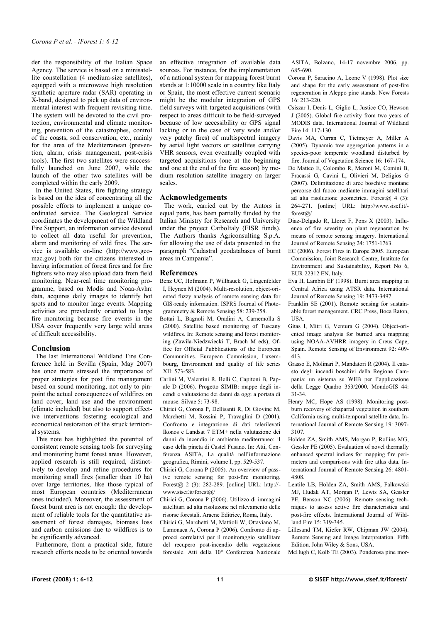der the responsibility of the Italian Space Agency. The service is based on a minisatellite constellation (4 medium-size satellites), equipped with a microwave high resolution synthetic aperture radar (SAR) operating in X-band, designed to pick up data of environmental interest with frequent revisiting time. The system will be devoted to the civil protection, environmental and climate monitoring, prevention of the catastrophes, control of the coasts, soil conservation, etc., mainly for the area of the Mediterranean (prevention, alarm, crisis management, post-crisis tools). The first two satellites were successfully launched on June 2007, while the launch of the other two satellites will be completed within the early 2009.

In the United States, fire fighting strategy is based on the idea of concentrating all the possible efforts to implement a unique coordinated service. The Geological Service coordinates the development of the Wildland Fire Support, an information service devoted to collect all data useful for prevention, alarm and monitoring of wild fires. The service is available on-line (http://www.geomac.gov) both for the citizens interested in having information of forest fires and for fire fighters who may also upload data from field monitoring. Near-real time monitoring programme, based on Modis and Noaa-Avhrr data, acquires daily images to identify hot spots and to monitor large events. Mapping activities are prevalently oriented to large fire monitoring because fire events in the USA cover frequently very large wild areas of difficult accessibility.

# **Conclusion**

The last International Wildland Fire Conference held in Sevilla (Spain, May 2007) has once more stressed the importance of proper strategies for post fire management based on sound monitoring, not only to pinpoint the actual consequences of wildfires on land cover, land use and the environment (climate included) but also to support effective interventions fostering ecological and economical restoration of the struck territorial systems.

This note has highlighted the potential of consistent remote sensing tools for surveying and monitoring burnt forest areas. However, applied research is still required, distinctively to develop and refine procedures for monitoring small fires (smaller than 10 ha) over large territories, like those typical of most European countries (Mediterranean ones included). Moreover, the assessment of forest burnt area is not enough: the development of reliable tools for the quantitative assessment of forest damages, biomass loss and carbon emissions due to wildfires is to be significantly advanced*.*

Futhermore, from a practical side, future research efforts needs to be oriented towards an effective integration of available data sources. For instance, for the implementation of a national system for mapping forest burnt stands at 1:10000 scale in a country like Italy or Spain, the most effective current scenario might be the modular integration of GPS field surveys with targeted acquisitions (with respect to areas difficult to be field-surveyed because of low accessibility or GPS signal lacking or in the case of very wide and/or very patchy fires) of multispectral imagery by aerial light vectors or satellites carrying VHR sensors, even eventually coupled with targeted acquisitions (one at the beginning and one at the end of the fire season) by medium resolution satellite imagery on larger scales.

## **Acknowledgements**

The work, carried out by the Autors in equal parts, has been partially funded by the Italian Ministry for Research and University under the project CarboItaly (FISR funds). The Authors thanks Agriconsulting S.p.A. for allowing the use of data presented in the paragraph "Cadastral geodatabases of burnt areas in Campania".

## **References**

- Benz UC, Hofmann P, Willhauck G, Lingenfelder I, Heynen M (2004). Multi-resolution, object-oriented fuzzy analysis of remote sensing data for GIS-ready information. ISPRS Journal of Photogrammetry & Remote Sensing 58: 239-258.
- Bottai L, Bagnoli M, Oradini A, Carnemolla S (2000). Satellite based monitoring of Tuscany wildfires. In: Remote sensing and forest monitoring (Zawila-Niedzwiecki T, Brach M eds), Office for Official Pubblications of the European Communities. European Commission, Luxembourg, Environment and quality of life series XII: 573-583.
- Carlini M, Valentini R, Belli C, Capitoni B, Papale D (2006). Progetto SIMIB: mappe degli incendi e valutazione dei danni da oggi a portata di mouse. Silvae 5: 73-98.
- Chirici G, Corona P, Dellisanti R, Di Giovine M, Marchetti M, Rossini P, Travaglini D (2001). Confronto e integrazione di dati telerilevati Ikonos e Landsat 7 ETM+ nella valutazione dei danni da incendio in ambiente mediterraneo: il caso della pineta di Castel Fusano. In: Atti, Conferenza ASITA, La qualità nell'informazione geografica, Rimini, volume I, pp. 529-537.
- Chirici G, Corona P (2005). An overview of passive remote sensing for post-fire monitoring. Forest@ 2 (3): 282-289. [online] URL: http:// www.sisef.it/forest@/
- Chirici G, Corona P (2006). Utilizzo di immagini satellitari ad alta risoluzone nel rilevamento delle risorse forestali. Aracne Editrice, Roma, Italy.
- Chirici G, Marchetti M, Mattioli W, Ottaviano M, Lamonaca A, Corona P (2006). Confronto di approcci correlativi per il monitoraggio satellitare del recupero post-incendio della vegetazione forestale. Atti della 10° Conferenza Nazionale

ASITA, Bolzano, 14-17 novembre 2006, pp. 685-690.

- Corona P, Saracino A, Leone V (1998). Plot size and shape for the early assessment of post-fire regeneration in Aleppo pine stands. New Forests 16: 213-220.
- Csiszar I, Denis L, Giglio L, Justice CO, Hewson J (2005). Global fire activity from two years of MODIS data. International Journal of Wildland Fire 14: 117-130.
- Davis MA, Curran C, Tietmeyer A, Miller A (2005). Dynamic tree aggregation patterns in a species-poor temperate woodland disturbed by fire. Journal of Vegetation Science 16: 167-174.
- De Matteo E, Colombo R, Meroni M, Comini B, Fracassi G, Cavini L, Olivieri M, Deligios G (2007). Delimitazione di aree boschive montane percorse dal fuoco mediante immagini satellitari ad alta risoluzione geometrica. Forest $(a)$  4 (3): 264-271. [online] URL: http://www.sisef.it/ forest@/
- Diaz-Delgado R, Lloret F, Pons X (2003). Influence of fire severity on plant regeneration by means of remote sensing imagery. International Journal of Remote Sensing 24: 1751-1763.
- EC (2006). Forest Fires in Europe 2005. European Commission, Joint Research Centre, Institute for Environment and Sustainability, Report No 6, EUR 22312 EN, Italy.
- Eva H, Lambin EF (1998). Burnt area mapping in Central Africa using ATSR data. International Journal of Remote Sensing 19: 3473-3497.
- Franklin SE (2001). Remote sensing for sustainable forest management. CRC Press, Boca Raton, **USA**
- Gitas I, Mitri G, Ventura G (2004). Object-oriented image analysis for burned area mapping using NOAA-AVHRR imagery in Creus Cape, Spain. Remote Sensing of Environment 92: 409- 413.
- Grasso E, Molinari P, Mandatori R (2004). Il catasto degli incendi boschivi della Regione Campania: un sistema su WEB per l'applicazione della Legge Quadro 353/2000. MondoGIS 44: 31-34.
- Henry MC, Hope AS (1998). Monitoring postburn recovery of chaparral vegetation in southern California using multi-temporal satellite data. International Journal of Remote Sensing 19: 3097- 3107.
- Holden ZA, Smith AMS, Morgan P, Rollins MG, Gessler PE (2005). Evaluation of novel thermally enhanced spectral indices for mapping fire perimeters and comparisons with fire atlas data. International Journal of Remote Sensing 26: 4801- 4808.
- Lentile LB, Holden ZA, Smith AMS, Falkowski MJ, Hudak AT, Morgan P, Lewis SA, Gessler PE, Benson NC (2006). Remote sensing techniques to assess active fire characteristics and post-fire effects. International Journal of Wildland Fire 15: 319-345.
- Lillesand TM, Kiefer RW, Chipman JW (2004). Remote Sensing and Image Interpretation. Fifth Edition. John Wiley & Sons, USA.
- McHugh C, Kolb TE (2003). Ponderosa pine mor-